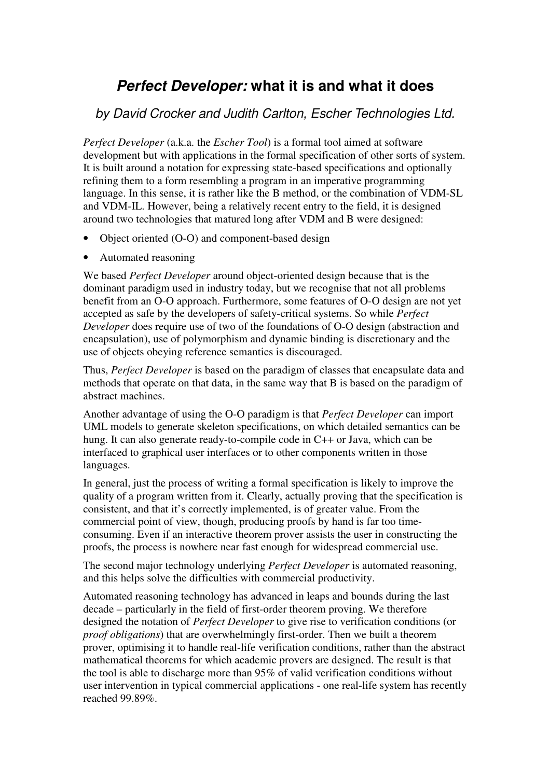# *Perfect Developer:* **what it is and what it does**

#### *by David Crocker and Judith Carlton, Escher Technologies Ltd.*

*Perfect Developer* (a.k.a. the *Escher Tool*) is a formal tool aimed at software development but with applications in the formal specification of other sorts of system. It is built around a notation for expressing state-based specifications and optionally refining them to a form resembling a program in an imperative programming language. In this sense, it is rather like the B method, or the combination of VDM-SL and VDM-IL. However, being a relatively recent entry to the field, it is designed around two technologies that matured long after VDM and B were designed:

- Object oriented (O-O) and component-based design
- Automated reasoning

We based *Perfect Developer* around object-oriented design because that is the dominant paradigm used in industry today, but we recognise that not all problems benefit from an O-O approach. Furthermore, some features of O-O design are not yet accepted as safe by the developers of safety-critical systems. So while *Perfect Developer* does require use of two of the foundations of O-O design (abstraction and encapsulation), use of polymorphism and dynamic binding is discretionary and the use of objects obeying reference semantics is discouraged.

Thus, *Perfect Developer* is based on the paradigm of classes that encapsulate data and methods that operate on that data, in the same way that B is based on the paradigm of abstract machines.

Another advantage of using the O-O paradigm is that *Perfect Developer* can import UML models to generate skeleton specifications, on which detailed semantics can be hung. It can also generate ready-to-compile code in C++ or Java, which can be interfaced to graphical user interfaces or to other components written in those languages.

In general, just the process of writing a formal specification is likely to improve the quality of a program written from it. Clearly, actually proving that the specification is consistent, and that it's correctly implemented, is of greater value. From the commercial point of view, though, producing proofs by hand is far too timeconsuming. Even if an interactive theorem prover assists the user in constructing the proofs, the process is nowhere near fast enough for widespread commercial use.

The second major technology underlying *Perfect Developer* is automated reasoning, and this helps solve the difficulties with commercial productivity.

Automated reasoning technology has advanced in leaps and bounds during the last decade – particularly in the field of first-order theorem proving. We therefore designed the notation of *Perfect Developer* to give rise to verification conditions (or *proof obligations*) that are overwhelmingly first-order. Then we built a theorem prover, optimising it to handle real-life verification conditions, rather than the abstract mathematical theorems for which academic provers are designed. The result is that the tool is able to discharge more than 95% of valid verification conditions without user intervention in typical commercial applications - one real-life system has recently reached 99.89%.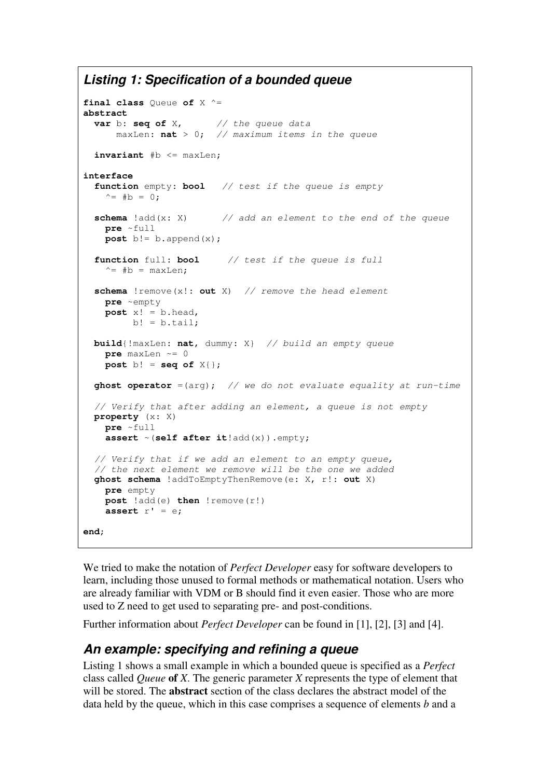### *Listing 1: Specification of a bounded queue*

```
final class Queue of X ^=
abstract
  var b: seq of X, // the queue data
      maxLen: nat > 0; // maximum items in the queue
  invariant #b <= maxLen;
interface
 function empty: bool // test if the queue is empty
   ^{\wedge} = #b = 0;
  schema !add(x: X) // add an element to the end of the queue
   pre ~full
   post b!= b. append(x);
 function full: bool // test if the queue is full
    ^{\wedge}= #b = maxLen:
  schema !remove(x!: out X) // remove the head element
   pre ~empty
   post x! = b.head,
        b! = b.tail;build{!maxLen: nat, dummy: X} // build an empty queue
   pre maxLen \sim= 0post b! = seq of X{};
  ghost operator =(arg); // we do not evaluate equality at run-time
  // Verify that after adding an element, a queue is not empty
 property (x: X)
   pre ~full
   assert ~(self after it!add(x)).empty;
  // Verify that if we add an element to an empty queue,
  // the next element we remove will be the one we added
 ghost schema !addToEmptyThenRemove(e: X, r!: out X)
   pre empty
   post !add(e) then !remove(r!)
   assert r' = e;
end;
```
We tried to make the notation of *Perfect Developer* easy for software developers to learn, including those unused to formal methods or mathematical notation. Users who are already familiar with VDM or B should find it even easier. Those who are more used to Z need to get used to separating pre- and post-conditions.

Further information about *Perfect Developer* can be found in [1], [2], [3] and [4].

#### *An example: specifying and refining a queue*

Listing 1 shows a small example in which a bounded queue is specified as a *Perfect* class called *Queue* **of** *X*. The generic parameter *X* represents the type of element that will be stored. The **abstract** section of the class declares the abstract model of the data held by the queue, which in this case comprises a sequence of elements *b* and a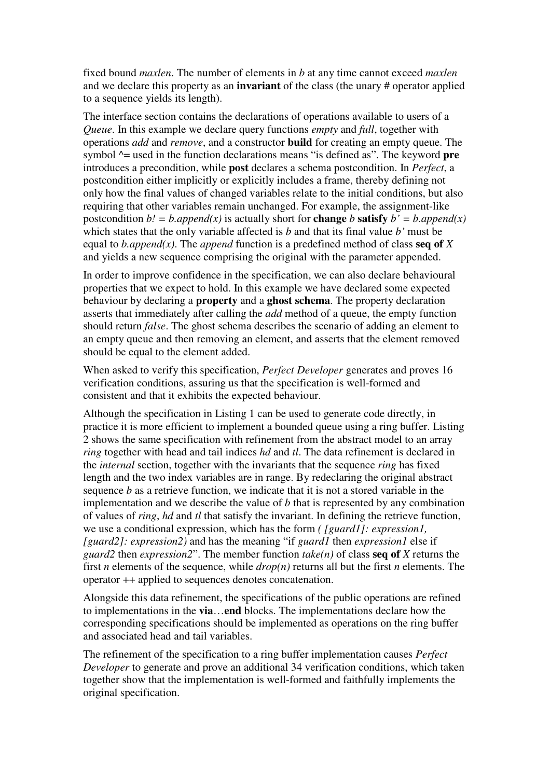fixed bound *maxlen*. The number of elements in *b* at any time cannot exceed *maxlen* and we declare this property as an **invariant** of the class (the unary # operator applied to a sequence yields its length).

The interface section contains the declarations of operations available to users of a *Queue*. In this example we declare query functions *empty* and *full*, together with operations *add* and *remove*, and a constructor **build** for creating an empty queue. The symbol ^= used in the function declarations means "is defined as". The keyword **pre** introduces a precondition, while **post** declares a schema postcondition. In *Perfect*, a postcondition either implicitly or explicitly includes a frame, thereby defining not only how the final values of changed variables relate to the initial conditions, but also requiring that other variables remain unchanged. For example, the assignment-like postcondition  $b' = b$ .append(x) is actually short for **change** *b* **satisfy**  $b' = b$ .append(x) which states that the only variable affected is *b* and that its final value *b'* must be equal to *b.append(x)*. The *append* function is a predefined method of class **seq of** *X* and yields a new sequence comprising the original with the parameter appended.

In order to improve confidence in the specification, we can also declare behavioural properties that we expect to hold. In this example we have declared some expected behaviour by declaring a **property** and a **ghost schema**. The property declaration asserts that immediately after calling the *add* method of a queue, the empty function should return *false*. The ghost schema describes the scenario of adding an element to an empty queue and then removing an element, and asserts that the element removed should be equal to the element added.

When asked to verify this specification, *Perfect Developer* generates and proves 16 verification conditions, assuring us that the specification is well-formed and consistent and that it exhibits the expected behaviour.

Although the specification in Listing 1 can be used to generate code directly, in practice it is more efficient to implement a bounded queue using a ring buffer. Listing 2 shows the same specification with refinement from the abstract model to an array *ring* together with head and tail indices *hd* and *tl*. The data refinement is declared in the *internal* section, together with the invariants that the sequence *ring* has fixed length and the two index variables are in range. By redeclaring the original abstract sequence *b* as a retrieve function, we indicate that it is not a stored variable in the implementation and we describe the value of *b* that is represented by any combination of values of *ring*, *hd* and *tl* that satisfy the invariant. In defining the retrieve function, we use a conditional expression, which has the form *( [guard1]: expression1, [guard2]: expression2)* and has the meaning "if *guard1* then *expression1* else if *guard2* then *expression2*". The member function *take(n)* of class **seq of** *X* returns the first *n* elements of the sequence, while *drop(n)* returns all but the first *n* elements. The operator ++ applied to sequences denotes concatenation.

Alongside this data refinement, the specifications of the public operations are refined to implementations in the **via**…**end** blocks. The implementations declare how the corresponding specifications should be implemented as operations on the ring buffer and associated head and tail variables.

The refinement of the specification to a ring buffer implementation causes *Perfect Developer* to generate and prove an additional 34 verification conditions, which taken together show that the implementation is well-formed and faithfully implements the original specification.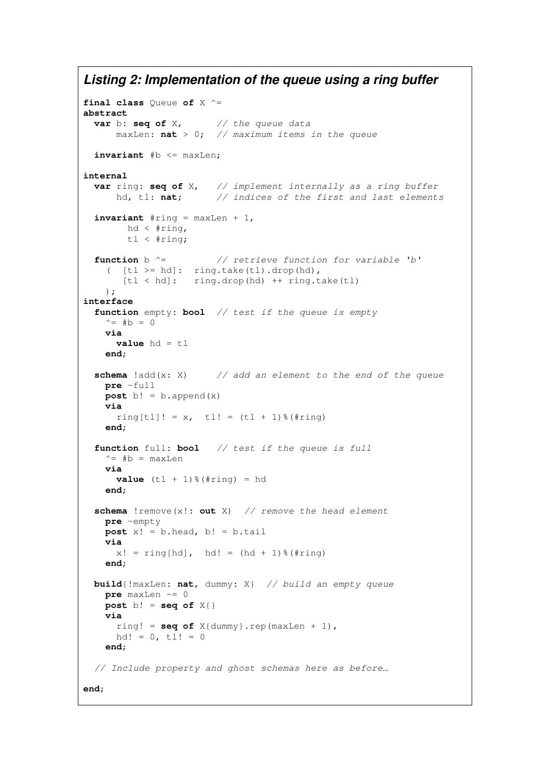#### *Listing 2: Implementation of the queue using a ring buffer*

```
final class Queue of X ^=
abstract
  var b: seq of X, // the queue data
      maxLen: nat > 0; // maximum items in the queue
  invariant #b <= maxLen;
internal
  var ring: seq of X, // implement internally as a ring buffer
      hd, tl: nat; // indices of the first and last elements
  \textbf{invariant} #ring = maxLen + 1,
        hd < #ring,
        tl < #ring;
  function b ^= // retrieve function for variable 'b'
    ( [t] \geq hd: ring.take(tl).drop(hd),
       [t] < hd: ring.drop(hd) ++ ring.take(tl)
    );
interface
  function empty: bool // test if the queue is empty
    \hat{} = #b = 0
    via
      value hd = tl
    end;
  schema !add(x: X) // add an element to the end of the queue
   pre ~full
   post b! = b.append(x)
    via
     ring [t]! = x, tl! = (tl + 1) *(#ring)
    end;
  function full: bool // test if the queue is full
   \uparrow = #b = maxLen
    via
      value (t1 + 1) *(\# \text{ring}) = hdend;
  schema !remove(x!: out X) // remove the head element
    pre ~empty
    post x! = b \cdot head, b! = b \cdot tailvia
      x! = \text{ring}[\text{hd}], \text{hd!} = (\text{hd} + 1)\text{*}(\text{#ring})end;
  build{!maxLen: nat, dummy: X} // build an empty queue
    pre maxLen \sim= 0post b! = seq of X{}
    via
      ring! = seq of X{dumm}; rep(maxLen + 1),
     hd! = 0, \text{tl} = 0
    end;
  // Include property and ghost schemas here as before…
end;
```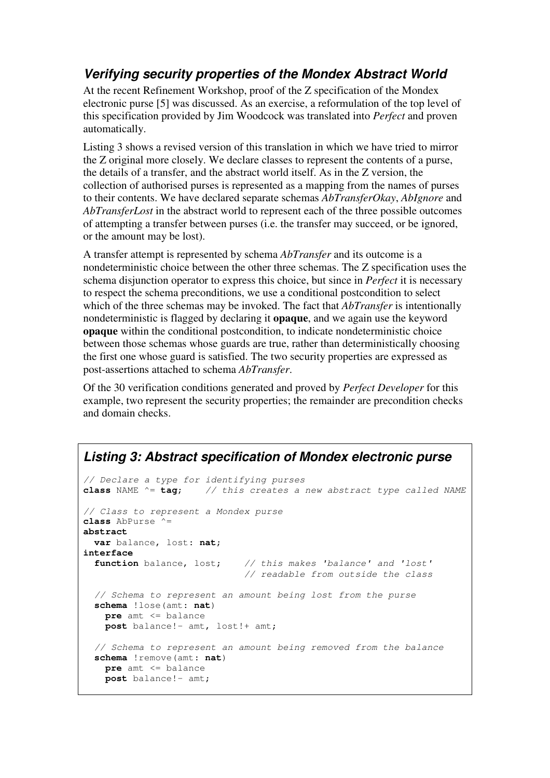# *Verifying security properties of the Mondex Abstract World*

At the recent Refinement Workshop, proof of the Z specification of the Mondex electronic purse [5] was discussed. As an exercise, a reformulation of the top level of this specification provided by Jim Woodcock was translated into *Perfect* and proven automatically.

Listing 3 shows a revised version of this translation in which we have tried to mirror the Z original more closely. We declare classes to represent the contents of a purse, the details of a transfer, and the abstract world itself. As in the Z version, the collection of authorised purses is represented as a mapping from the names of purses to their contents. We have declared separate schemas *AbTransferOkay*, *AbIgnore* and *AbTransferLost* in the abstract world to represent each of the three possible outcomes of attempting a transfer between purses (i.e. the transfer may succeed, or be ignored, or the amount may be lost).

A transfer attempt is represented by schema *AbTransfer* and its outcome is a nondeterministic choice between the other three schemas. The Z specification uses the schema disjunction operator to express this choice, but since in *Perfect* it is necessary to respect the schema preconditions, we use a conditional postcondition to select which of the three schemas may be invoked. The fact that *AbTransfer* is intentionally nondeterministic is flagged by declaring it **opaque**, and we again use the keyword **opaque** within the conditional postcondition, to indicate nondeterministic choice between those schemas whose guards are true, rather than deterministically choosing the first one whose guard is satisfied. The two security properties are expressed as post-assertions attached to schema *AbTransfer*.

Of the 30 verification conditions generated and proved by *Perfect Developer* for this example, two represent the security properties; the remainder are precondition checks and domain checks.

#### *Listing 3: Abstract specification of Mondex electronic purse*

```
// Declare a type for identifying purses
class NAME ^= tag; // this creates a new abstract type called NAME
// Class to represent a Mondex purse
class AbPurse ^=
abstract
 var balance, lost: nat;
interface
 function balance, lost; // this makes 'balance' and 'lost'
                            // readable from outside the class
  // Schema to represent an amount being lost from the purse
  schema !lose(amt: nat)
   pre amt <= balance
   post balance!- amt, lost!+ amt;
  // Schema to represent an amount being removed from the balance
  schema !remove(amt: nat)
   pre amt <= balance
   post balance!- amt;
```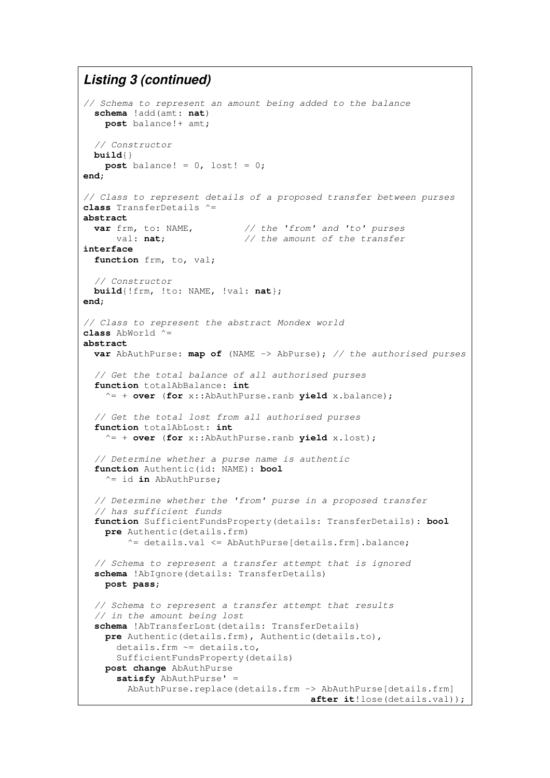#### *Listing 3 (continued)*

```
// Schema to represent an amount being added to the balance
 schema !add(amt: nat)
   post balance!+ amt;
  // Constructor
 build{}
   post balance! = 0, lost! = 0;
end;
// Class to represent details of a proposed transfer between purses
class TransferDetails ^=
abstract<br>var frm, to: NAME,
                           var frm, to: NAME, // the 'from' and 'to' purses
     val: nat; // the amount of the transfer
interface
  function frm, to, val;
  // Constructor
 build{!frm, !to: NAME, !val: nat};
end;
// Class to represent the abstract Mondex world
class AbWorld ^=
abstract
 var AbAuthPurse: map of (NAME -> AbPurse); // the authorised purses
  // Get the total balance of all authorised purses
  function totalAbBalance: int
    ^= + over (for x::AbAuthPurse.ranb yield x.balance);
  // Get the total lost from all authorised purses
  function totalAbLost: int
    ^= + over (for x::AbAuthPurse.ranb yield x.lost);
  // Determine whether a purse name is authentic
  function Authentic(id: NAME): bool
    ^= id in AbAuthPurse;
  // Determine whether the 'from' purse in a proposed transfer
  // has sufficient funds
  function SufficientFundsProperty(details: TransferDetails): bool
    pre Authentic(details.frm)
        \texttt{^*} details.val \texttt{^*} AbAuthPurse[details.frm].balance;
  // Schema to represent a transfer attempt that is ignored
  schema !AbIgnore(details: TransferDetails)
   post pass;
  // Schema to represent a transfer attempt that results
  // in the amount being lost
  schema !AbTransferLost(details: TransferDetails)
    pre Authentic(details.frm), Authentic(details.to),
      details.frm ~= details.to,
      SufficientFundsProperty(details)
    post change AbAuthPurse
      satisfy AbAuthPurse' =
        AbAuthPurse.replace(details.frm -> AbAuthPurse[details.frm]
                                          after it!lose(details.val));
```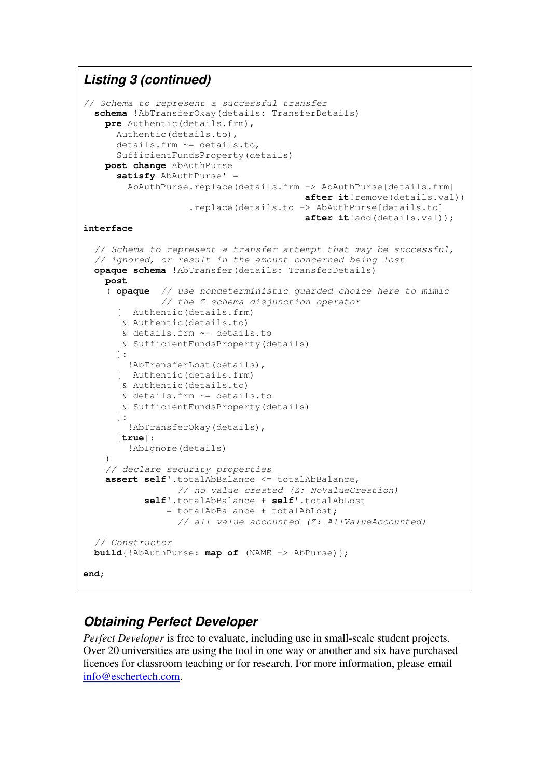## *Listing 3 (continued)*

```
// Schema to represent a successful transfer
  schema !AbTransferOkay(details: TransferDetails)
   pre Authentic(details.frm),
      Authentic(details.to),
      details.frm ~= details.to,
      SufficientFundsProperty(details)
   post change AbAuthPurse
      satisfy AbAuthPurse' =
        AbAuthPurse.replace(details.frm -> AbAuthPurse[details.frm]
                                        after it!remove(details.val))
                   .replace(details.to -> AbAuthPurse[details.to]
                                        after it!add(details.val));
interface
  // Schema to represent a transfer attempt that may be successful,
  // ignored, or result in the amount concerned being lost
  opaque schema !AbTransfer(details: TransferDetails)
   post
    ( opaque // use nondeterministic guarded choice here to mimic
              // the Z schema disjunction operator
      [ Authentic(details.frm)
       & Authentic(details.to)
      & details.frm ~= details.to
      & SufficientFundsProperty(details)
      ]:
       !AbTransferLost(details),
      [ Authentic(details.frm)
       & Authentic(details.to)
      & details.frm ~= details.to
      & SufficientFundsProperty(details)
      ]:
        !AbTransferOkay(details),
      [true]:
        !AbIgnore(details)
    )
    // declare security properties
    assert self'.totalAbBalance <= totalAbBalance,
                 // no value created (Z: NoValueCreation)
           self'.totalAbBalance + self'.totalAbLost
               = totalAbBalance + totalAbLost;
                 // all value accounted (Z: AllValueAccounted)
  // Constructor
 build{!AbAuthPurse: map of (NAME -> AbPurse)};
end;
```
# *Obtaining Perfect Developer*

*Perfect Developer* is free to evaluate, including use in small-scale student projects. Over 20 universities are using the tool in one way or another and six have purchased licences for classroom teaching or for research. For more information, please email info@eschertech.com.